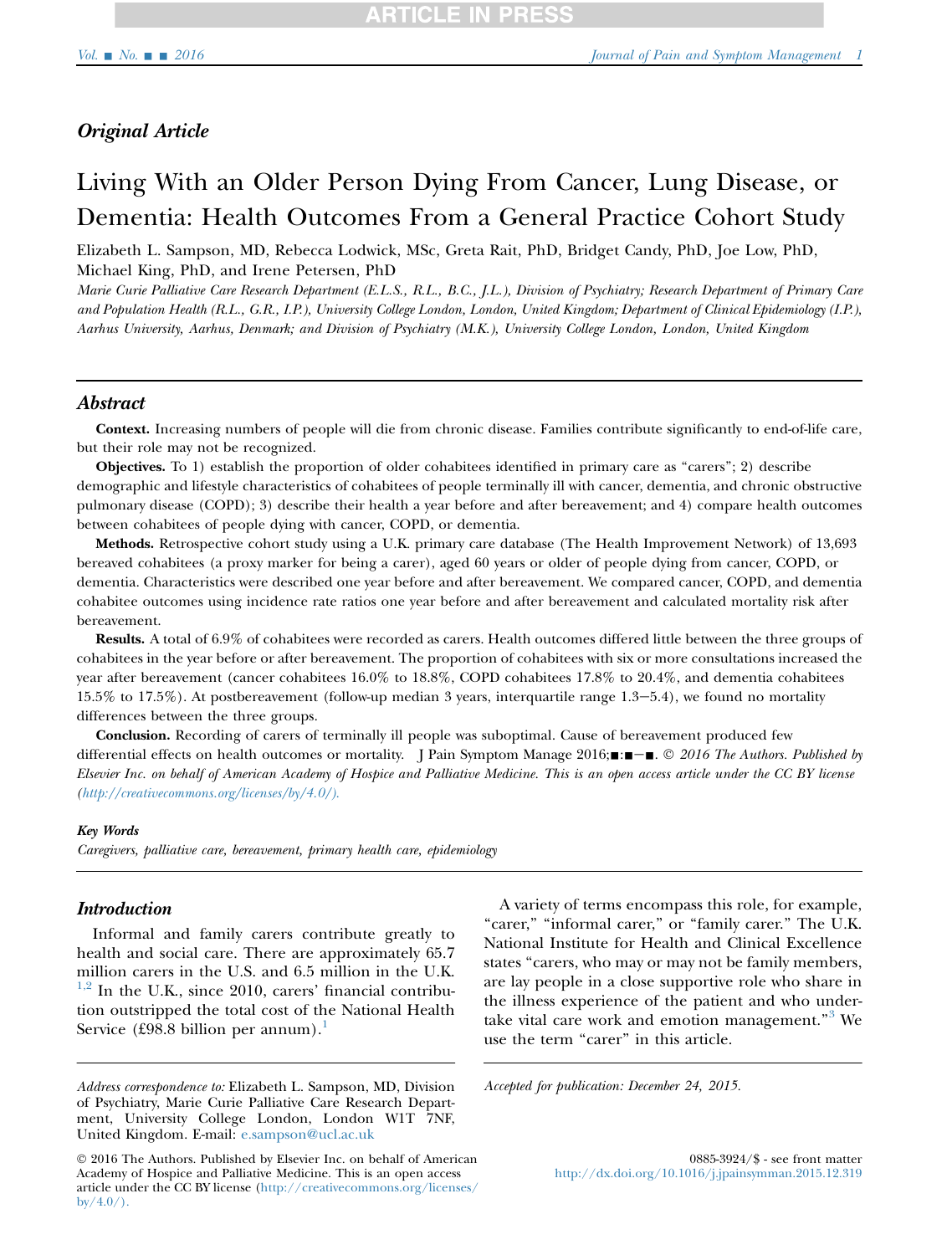# Original Article

# Living With an Older Person Dying From Cancer, Lung Disease, or Dementia: Health Outcomes From a General Practice Cohort Study

Elizabeth L. Sampson, MD, Rebecca Lodwick, MSc, Greta Rait, PhD, Bridget Candy, PhD, Joe Low, PhD, Michael King, PhD, and Irene Petersen, PhD

Marie Curie Palliative Care Research Department (E.L.S., R.L., B.C., J.L.), Division of Psychiatry; Research Department of Primary Care and Population Health (R.L., G.R., I.P.), University College London, London, United Kingdom; Department of Clinical Epidemiology (I.P.), Aarhus University, Aarhus, Denmark; and Division of Psychiatry (M.K.), University College London, London, United Kingdom

# Abstract

Context. Increasing numbers of people will die from chronic disease. Families contribute significantly to end-of-life care, but their role may not be recognized.

Objectives. To 1) establish the proportion of older cohabitees identified in primary care as ''carers''; 2) describe demographic and lifestyle characteristics of cohabitees of people terminally ill with cancer, dementia, and chronic obstructive pulmonary disease (COPD); 3) describe their health a year before and after bereavement; and 4) compare health outcomes between cohabitees of people dying with cancer, COPD, or dementia.

Methods. Retrospective cohort study using a U.K. primary care database (The Health Improvement Network) of 13,693 bereaved cohabitees (a proxy marker for being a carer), aged 60 years or older of people dying from cancer, COPD, or dementia. Characteristics were described one year before and after bereavement. We compared cancer, COPD, and dementia cohabitee outcomes using incidence rate ratios one year before and after bereavement and calculated mortality risk after bereavement.

Results. A total of 6.9% of cohabitees were recorded as carers. Health outcomes differed little between the three groups of cohabitees in the year before or after bereavement. The proportion of cohabitees with six or more consultations increased the year after bereavement (cancer cohabitees 16.0% to 18.8%, COPD cohabitees 17.8% to 20.4%, and dementia cohabitees  $15.5\%$  to  $17.5\%$ ). At postbereavement (follow-up median 3 years, interquartile range  $1.3-5.4$ ), we found no mortality differences between the three groups.

Conclusion. Recording of carers of terminally ill people was suboptimal. Cause of bereavement produced few differential effects on health outcomes or mortality. J Pain Symptom Manage 2016; $\blacksquare$  $\blacksquare$  $\blacksquare$   $\blacksquare$   $\blacksquare$   $\blacksquare$   $\blacksquare$   $\blacksquare$   $\blacksquare$   $\blacksquare$   $\blacksquare$   $\blacksquare$   $\blacksquare$   $\blacksquare$   $\blacksquare$   $\blacksquare$   $\blacksquare$   $\blacksquare$   $\blacksquare$   $\blacksquare$   $\bl$ Elsevier Inc. on behalf of American Academy of Hospice and Palliative Medicine. This is an open access article under the CC BY license ([http://creativecommons.org/licenses/by/4.0/\).](http://creativecommons.org/licenses/by/4.0/)

### Key Words

Caregivers, palliative care, bereavement, primary health care, epidemiology

# **Introduction**

Informal and family carers contribute greatly to health and social care. There are approximately 65.7 million carers in the U.S. and 6.5 million in the U.K.  $1,2$  In the U.K., since 2010, carers' financial contribution outstripped the total cost of the National Health Service (£98.8 billion per annum).<sup>[1](#page-7-0)</sup>

A variety of terms encompass this role, for example, "carer," "informal carer," or "family carer." The U.K. National Institute for Health and Clinical Excellence states "carers, who may or may not be family members, are lay people in a close supportive role who share in the illness experience of the patient and who undertake vital care work and emotion management."<sup>3</sup> We use the term "carer" in this article.

Accepted for publication: December 24, 2015.

Address correspondence to: Elizabeth L. Sampson, MD, Division of Psychiatry, Marie Curie Palliative Care Research Department, University College London, London W1T 7NF, United Kingdom. E-mail: [e.sampson@ucl.ac.uk](mailto:e.sampson@ucl.ac.uk)

2016 The Authors. Published by Elsevier Inc. on behalf of American Academy of Hospice and Palliative Medicine. This is an open access article under the CC BY license ([http://creativecommons.org/licenses/](http://creativecommons.org/licenses/by/4.0/)  $b\text{v}/4.0/$ ).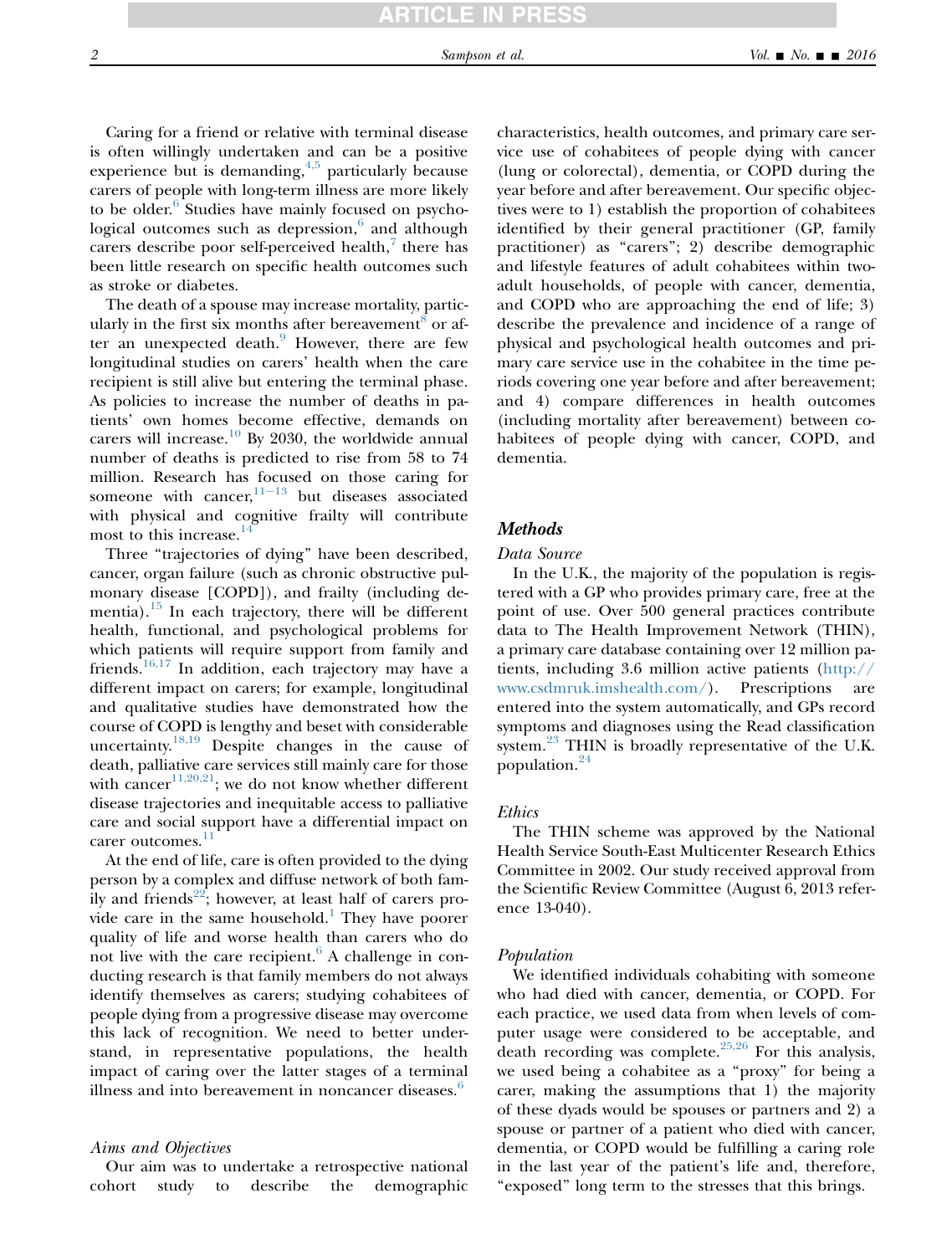Caring for a friend or relative with terminal disease is often willingly undertaken and can be a positive experience but is demanding,  $4,5$  particularly because carers of people with long-term illness are more likely to be older.<sup>[6](#page-8-0)</sup> Studies have mainly focused on psychological outcomes such as depression, $6$  and although carers describe poor self-perceived health,<sup>[7](#page-8-0)</sup> there has been little research on specific health outcomes such as stroke or diabetes.

The death of a spouse may increase mortality, particularly in the first six months after bereavement<sup> $\delta$ </sup> or af-ter an unexpected death.<sup>[9](#page-8-0)</sup> However, there are few longitudinal studies on carers' health when the care recipient is still alive but entering the terminal phase. As policies to increase the number of deaths in patients' own homes become effective, demands on carers will increase.<sup>[10](#page-8-0)</sup> By 2030, the worldwide annual number of deaths is predicted to rise from 58 to 74 million. Research has [focu](#page-8-0)sed on those caring for someone with cancer, $11-13$  but diseases associated with physical and cognitive frailty will contribute most to this increase.<sup>1</sup>

Three "trajectories of dying" have been described, cancer, organ failure (such as chronic obstructive pulmonary disease [COPD]), and frailty (including dementia). $15$  In each trajectory, there will be different health, functional, and psychological problems for which patients will require support from family and friends.<sup>[16,17](#page-8-0)</sup> In addition, each trajectory may have a different impact on carers; for example, longitudinal and qualitative studies have demonstrated how the course of COPD is lengthy and beset with considerable uncertainty.[18,19](#page-8-0) Despite changes in the cause of death, palliative care services still mainly care for those with cancer<sup>[11,20,21](#page-8-0)</sup>; we do not know whether different disease trajectories and inequitable access to palliative care and social support have a differential impact on carer outcomes.<sup>[11](#page-8-0)</sup>

At the end of life, care is often provided to the dying person by a complex and diffuse network of both fam-ily and friends<sup>[22](#page-8-0)</sup>; however, at least half of carers pro-vide care in the same household.<sup>[1](#page-7-0)</sup> They have poorer quality of life and worse health than carers who do not live with the care recipient. $6$  A challenge in conducting research is that family members do not always identify themselves as carers; studying cohabitees of people dying from a progressive disease may overcome this lack of recognition. We need to better understand, in representative populations, the health impact of caring over the latter stages of a terminal illness and into bereavement in noncancer diseases.<sup>[6](#page-8-0)</sup>

### Aims and Objectives

Our aim was to undertake a retrospective national cohort study to describe the demographic characteristics, health outcomes, and primary care service use of cohabitees of people dying with cancer (lung or colorectal), dementia, or COPD during the year before and after bereavement. Our specific objectives were to 1) establish the proportion of cohabitees identified by their general practitioner (GP, family practitioner) as "carers"; 2) describe demographic and lifestyle features of adult cohabitees within twoadult households, of people with cancer, dementia, and COPD who are approaching the end of life; 3) describe the prevalence and incidence of a range of physical and psychological health outcomes and primary care service use in the cohabitee in the time periods covering one year before and after bereavement; and 4) compare differences in health outcomes (including mortality after bereavement) between cohabitees of people dying with cancer, COPD, and dementia.

### Methods

### Data Source

In the U.K., the majority of the population is registered with a GP who provides primary care, free at the point of use. Over 500 general practices contribute data to The Health Improvement Network (THIN), a primary care database containing over 12 million patients, including 3.6 million active patients ([http://](http://www.csdmruk.imshealth.com/) [www.csdmruk.imshealth.com/\)](http://www.csdmruk.imshealth.com/). Prescriptions are entered into the system automatically, and GPs record symptoms and diagnoses using the Read classification system.<sup>[23](#page-8-0)</sup> THIN is broadly representative of the U.K. population.[24](#page-8-0)

# Ethics

The THIN scheme was approved by the National Health Service South-East Multicenter Research Ethics Committee in 2002. Our study received approval from the Scientific Review Committee (August 6, 2013 reference 13-040).

### Population

We identified individuals cohabiting with someone who had died with cancer, dementia, or COPD. For each practice, we used data from when levels of computer usage were considered to be acceptable, and death recording was complete.<sup>[25,26](#page-8-0)</sup> For this analysis, we used being a cohabitee as a ''proxy'' for being a carer, making the assumptions that 1) the majority of these dyads would be spouses or partners and 2) a spouse or partner of a patient who died with cancer, dementia, or COPD would be fulfilling a caring role in the last year of the patient's life and, therefore, "exposed" long term to the stresses that this brings.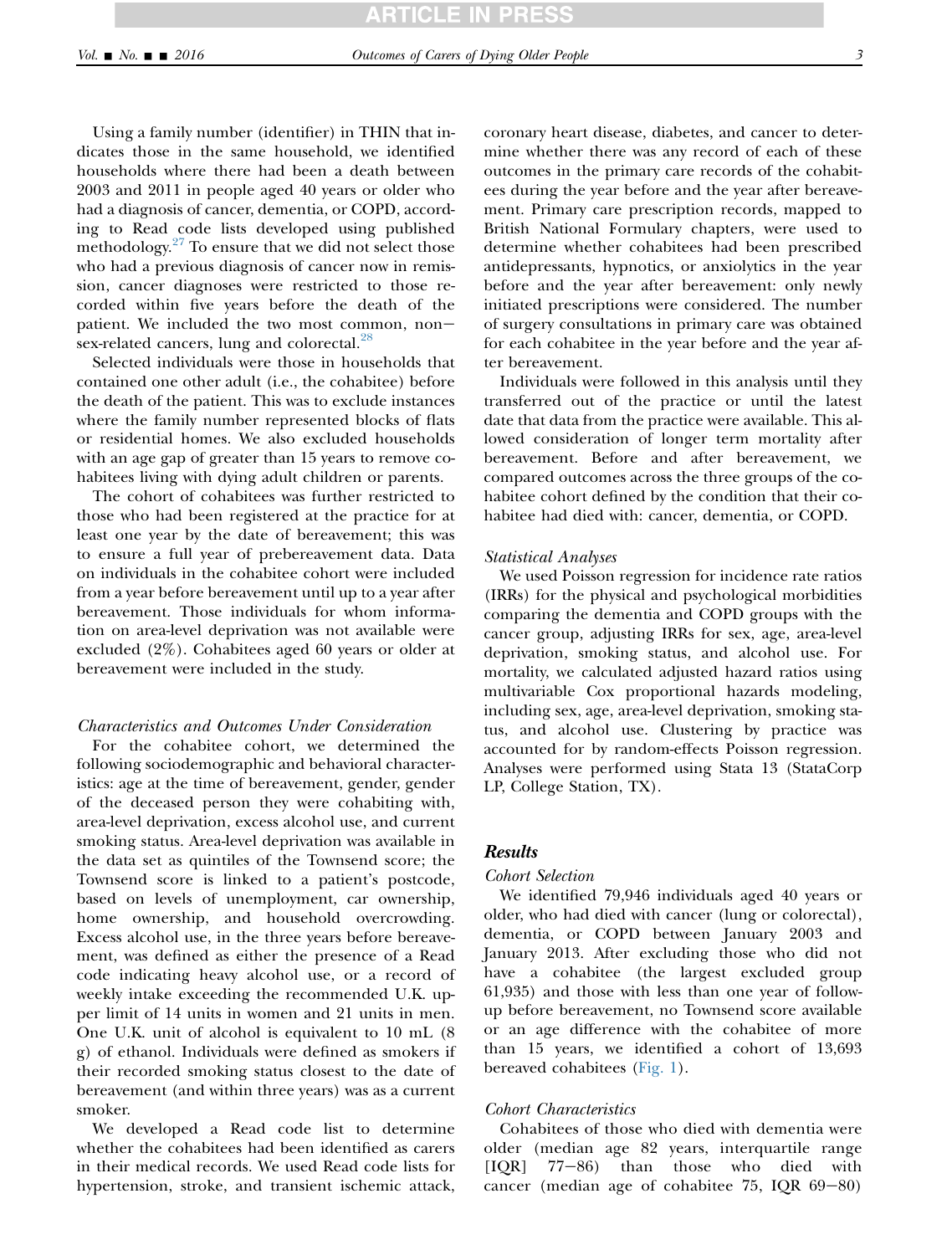**ICLE IN P** 

Using a family number (identifier) in THIN that indicates those in the same household, we identified households where there had been a death between 2003 and 2011 in people aged 40 years or older who had a diagnosis of cancer, dementia, or COPD, according to Read code lists developed using published methodology. $27$  To ensure that we did not select those who had a previous diagnosis of cancer now in remission, cancer diagnoses were restricted to those recorded within five years before the death of the patient. We included the two most common, non-sex-related cancers, lung and colorectal.<sup>[28](#page-8-0)</sup>

Selected individuals were those in households that contained one other adult (i.e., the cohabitee) before the death of the patient. This was to exclude instances where the family number represented blocks of flats or residential homes. We also excluded households with an age gap of greater than 15 years to remove cohabitees living with dying adult children or parents.

The cohort of cohabitees was further restricted to those who had been registered at the practice for at least one year by the date of bereavement; this was to ensure a full year of prebereavement data. Data on individuals in the cohabitee cohort were included from a year before bereavement until up to a year after bereavement. Those individuals for whom information on area-level deprivation was not available were excluded (2%). Cohabitees aged 60 years or older at bereavement were included in the study.

# Characteristics and Outcomes Under Consideration

For the cohabitee cohort, we determined the following sociodemographic and behavioral characteristics: age at the time of bereavement, gender, gender of the deceased person they were cohabiting with, area-level deprivation, excess alcohol use, and current smoking status. Area-level deprivation was available in the data set as quintiles of the Townsend score; the Townsend score is linked to a patient's postcode, based on levels of unemployment, car ownership, home ownership, and household overcrowding. Excess alcohol use, in the three years before bereavement, was defined as either the presence of a Read code indicating heavy alcohol use, or a record of weekly intake exceeding the recommended U.K. upper limit of 14 units in women and 21 units in men. One U.K. unit of alcohol is equivalent to 10 mL (8 g) of ethanol. Individuals were defined as smokers if their recorded smoking status closest to the date of bereavement (and within three years) was as a current smoker.

We developed a Read code list to determine whether the cohabitees had been identified as carers in their medical records. We used Read code lists for hypertension, stroke, and transient ischemic attack, coronary heart disease, diabetes, and cancer to determine whether there was any record of each of these outcomes in the primary care records of the cohabitees during the year before and the year after bereavement. Primary care prescription records, mapped to British National Formulary chapters, were used to determine whether cohabitees had been prescribed antidepressants, hypnotics, or anxiolytics in the year before and the year after bereavement: only newly initiated prescriptions were considered. The number of surgery consultations in primary care was obtained for each cohabitee in the year before and the year after bereavement.

Individuals were followed in this analysis until they transferred out of the practice or until the latest date that data from the practice were available. This allowed consideration of longer term mortality after bereavement. Before and after bereavement, we compared outcomes across the three groups of the cohabitee cohort defined by the condition that their cohabitee had died with: cancer, dementia, or COPD.

# Statistical Analyses

We used Poisson regression for incidence rate ratios (IRRs) for the physical and psychological morbidities comparing the dementia and COPD groups with the cancer group, adjusting IRRs for sex, age, area-level deprivation, smoking status, and alcohol use. For mortality, we calculated adjusted hazard ratios using multivariable Cox proportional hazards modeling, including sex, age, area-level deprivation, smoking status, and alcohol use. Clustering by practice was accounted for by random-effects Poisson regression. Analyses were performed using Stata 13 (StataCorp LP, College Station, TX).

# **Results**

# Cohort Selection

We identified 79,946 individuals aged 40 years or older, who had died with cancer (lung or colorectal), dementia, or COPD between January 2003 and January 2013. After excluding those who did not have a cohabitee (the largest excluded group 61,935) and those with less than one year of followup before bereavement, no Townsend score available or an age difference with the cohabitee of more than 15 years, we identified a cohort of 13,693 bereaved cohabitees [\(Fig. 1\)](#page-3-0).

# Cohort Characteristics

Cohabitees of those who died with dementia were older (median age 82 years, interquartile range  $[IQR]$   $77-86$ ) than those who died with cancer (median age of cohabitee  $75$ , IQR  $69-80$ )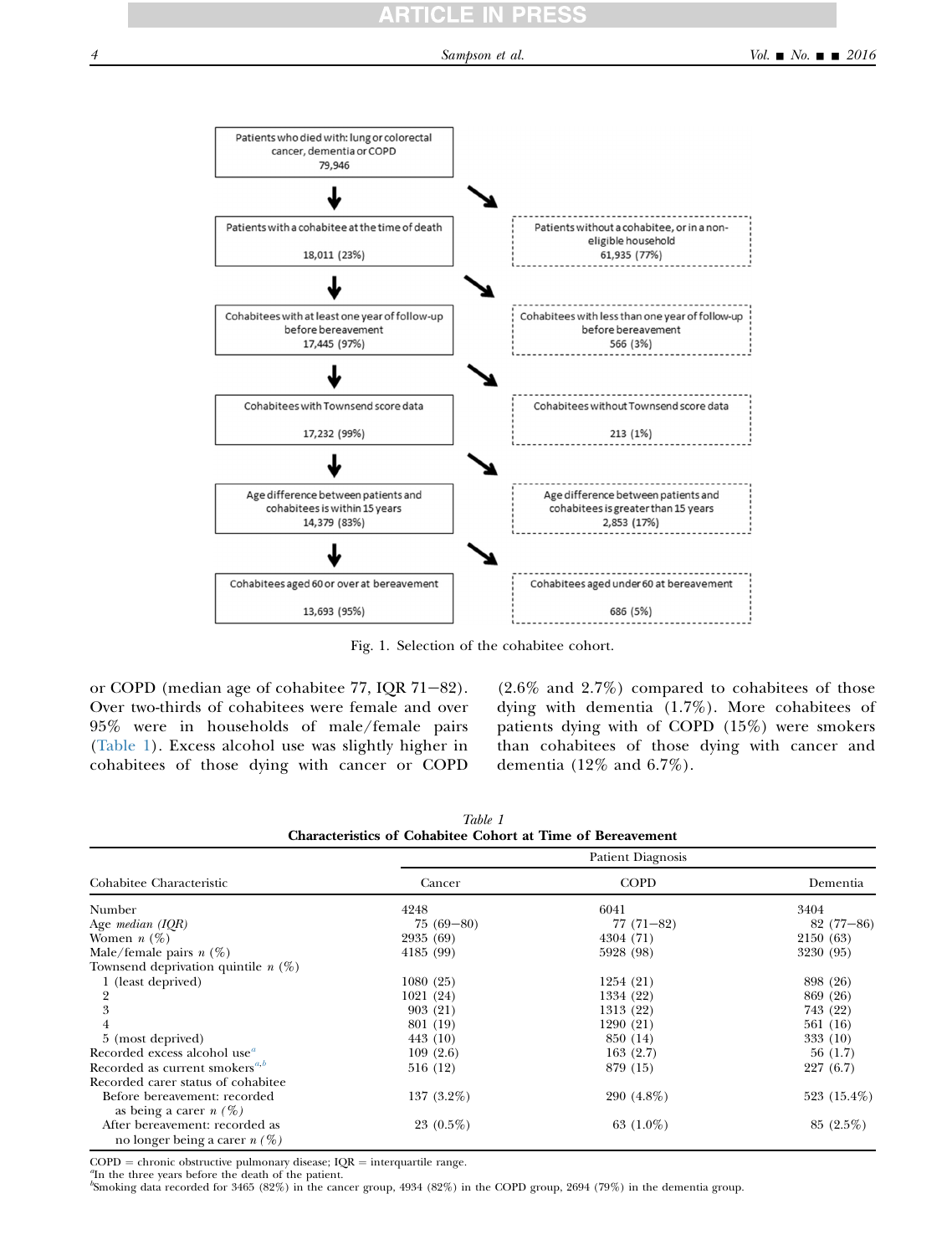<span id="page-3-0"></span>

Fig. 1. Selection of the cohabitee cohort.

or COPD (median age of cohabitee  $77$ , IQR  $71-82$ ). Over two-thirds of cohabitees were female and over 95% were in households of male/female pairs (Table 1). Excess alcohol use was slightly higher in cohabitees of those dying with cancer or COPD

(2.6% and 2.7%) compared to cohabitees of those dying with dementia (1.7%). More cohabitees of patients dying with of COPD (15%) were smokers than cohabitees of those dying with cancer and dementia (12% and 6.7%).

| Cohabitee Characteristic                                          | <b>Patient Diagnosis</b> |              |             |  |
|-------------------------------------------------------------------|--------------------------|--------------|-------------|--|
|                                                                   | Cancer                   | <b>COPD</b>  | Dementia    |  |
| Number                                                            | 4248                     | 6041         | 3404        |  |
| Age <i>median</i> $(IQR)$                                         | $75(69-80)$              | $77(71-82)$  | $82(77-86)$ |  |
| Women $n(\%)$                                                     | 2935 (69)                | 4304 (71)    | 2150 (63)   |  |
| Male/female pairs $n(\%)$                                         | 4185 (99)                | 5928 (98)    | 3230 (95)   |  |
| Townsend deprivation quintile $n(\%)$                             |                          |              |             |  |
| 1 (least deprived)                                                | 1080(25)                 | 1254 (21)    | 898 (26)    |  |
| 2                                                                 | 1021 (24)                | 1334 (22)    | 869 (26)    |  |
| 3                                                                 | 903 (21)                 | 1313 (22)    | 743 (22)    |  |
|                                                                   | 801 (19)                 | 1290 (21)    | 561 (16)    |  |
| 5 (most deprived)                                                 | 443 (10)                 | 850 (14)     | 333 (10)    |  |
| Recorded excess alcohol use <sup><i>a</i></sup>                   | 109(2.6)                 | 163(2.7)     | 56(1.7)     |  |
| Recorded as current smokers <sup><i>a,b</i></sup>                 | 516 (12)                 | 879 (15)     | 227(6.7)    |  |
| Recorded carer status of cohabitee                                |                          |              |             |  |
| Before bereavement: recorded                                      | 137 $(3.2\%)$            | $290(4.8\%)$ | 523 (15.4%) |  |
| as being a carer $n(\%)$                                          |                          |              |             |  |
| After bereavement: recorded as<br>no longer being a carer $n(\%)$ | $23(0.5\%)$              | 63 $(1.0\%)$ | $85(2.5\%)$ |  |

Table 1 Characteristics of Cohabitee Cohort at Time of Bereavement

 $COPD =$  chronic obstructive pulmonary disease;  $IQR =$  interquartile range.

<sup>"</sup>In the three years before the death of the patient.

b Smoking data recorded for 3465 (82%) in the cancer group, 4934 (82%) in the COPD group, 2694 (79%) in the dementia group.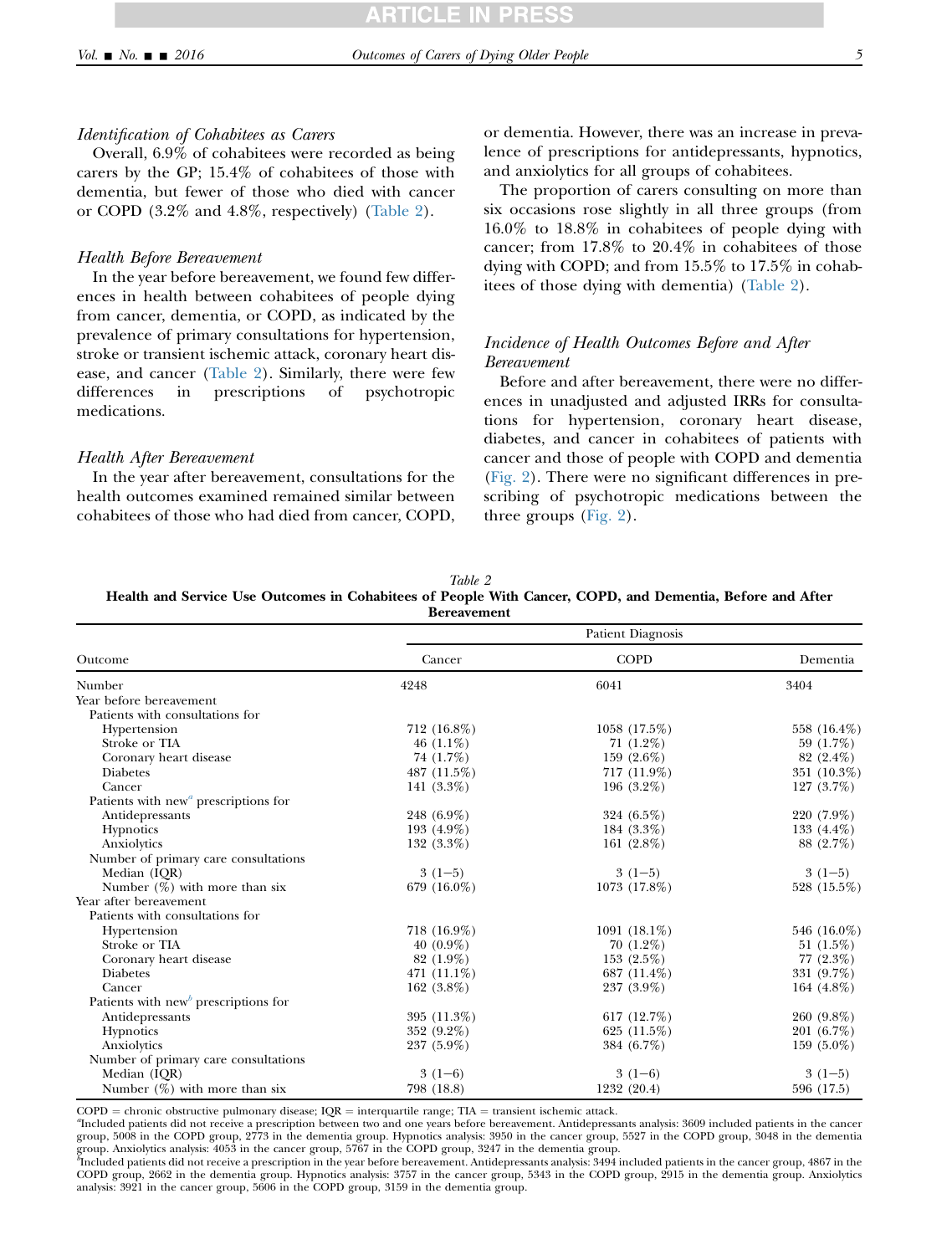### Identification of Cohabitees as Carers

Overall, 6.9% of cohabitees were recorded as being carers by the GP; 15.4% of cohabitees of those with dementia, but fewer of those who died with cancer or COPD (3.2% and 4.8%, respectively) (Table 2).

### Health Before Bereavement

In the year before bereavement, we found few differences in health between cohabitees of people dying from cancer, dementia, or COPD, as indicated by the prevalence of primary consultations for hypertension, stroke or transient ischemic attack, coronary heart disease, and cancer (Table 2). Similarly, there were few differences in prescriptions of psychotropic medications.

### Health After Bereavement

In the year after bereavement, consultations for the health outcomes examined remained similar between cohabitees of those who had died from cancer, COPD,

or dementia. However, there was an increase in prevalence of prescriptions for antidepressants, hypnotics, and anxiolytics for all groups of cohabitees.

The proportion of carers consulting on more than six occasions rose slightly in all three groups (from 16.0% to 18.8% in cohabitees of people dying with cancer; from 17.8% to 20.4% in cohabitees of those dying with COPD; and from 15.5% to 17.5% in cohabitees of those dying with dementia) (Table 2).

# Incidence of Health Outcomes Before and After Bereavement

Before and after bereavement, there were no differences in unadjusted and adjusted IRRs for consultations for hypertension, coronary heart disease, diabetes, and cancer in cohabitees of patients with cancer and those of people with COPD and dementia [\(Fig. 2\)](#page-5-0). There were no significant differences in prescribing of psychotropic medications between the three groups [\(Fig. 2\)](#page-5-0).

| Table 2                                                                                                   |  |  |  |  |  |
|-----------------------------------------------------------------------------------------------------------|--|--|--|--|--|
| Health and Service Use Outcomes in Cohabitees of People With Cancer, COPD, and Dementia, Before and After |  |  |  |  |  |
| <b>Bereavement</b>                                                                                        |  |  |  |  |  |

|                                                               | Patient Diagnosis |                 |               |  |
|---------------------------------------------------------------|-------------------|-----------------|---------------|--|
| Outcome                                                       | Cancer            | <b>COPD</b>     | Dementia      |  |
| Number                                                        | 4248              | 6041            | 3404          |  |
| Year before bereavement                                       |                   |                 |               |  |
| Patients with consultations for                               |                   |                 |               |  |
| Hypertension                                                  | 712 (16.8%)       | $1058(17.5\%)$  | 558 (16.4%)   |  |
| Stroke or TIA                                                 | 46 $(1.1\%)$      | 71 $(1.2\%)$    | 59 $(1.7\%)$  |  |
| Coronary heart disease                                        | 74 (1.7%)         | 159 $(2.6\%)$   | $82(2.4\%)$   |  |
| <b>Diabetes</b>                                               | 487 (11.5%)       | $717(11.9\%)$   | 351 (10.3%)   |  |
| Cancer                                                        | 141 $(3.3\%)$     | 196 $(3.2\%)$   | $127(3.7\%)$  |  |
| Patients with new <sup><math>a</math></sup> prescriptions for |                   |                 |               |  |
| Antidepressants                                               | 248 (6.9%)        | 324 (6.5%)      | 220 (7.9%)    |  |
| Hypnotics                                                     | 193 $(4.9\%)$     | 184 (3.3%)      | 133 $(4.4\%)$ |  |
| Anxiolytics                                                   | $132(3.3\%)$      | 161 $(2.8\%)$   | 88 (2.7%)     |  |
| Number of primary care consultations                          |                   |                 |               |  |
| Median (IQR)                                                  | $3(1-5)$          | $3(1-5)$        | $3(1-5)$      |  |
| Number $(\%)$ with more than six                              | 679 (16.0%)       | $1073(17.8\%)$  | 528 (15.5%)   |  |
| Year after bereavement                                        |                   |                 |               |  |
| Patients with consultations for                               |                   |                 |               |  |
| Hypertension                                                  | 718 (16.9%)       | 1091 $(18.1\%)$ | 546 (16.0%)   |  |
| Stroke or TIA                                                 | $40(0.9\%)$       | 70 (1.2%)       | 51 $(1.5\%)$  |  |
| Coronary heart disease                                        | 82 (1.9%)         | 153 $(2.5\%)$   | 77 $(2.3\%)$  |  |
| <b>Diabetes</b>                                               | 471 $(11.1\%)$    | 687 (11.4%)     | 331 (9.7%)    |  |
| Cancer                                                        | 162 $(3.8\%)$     | 237 (3.9%)      | 164 $(4.8\%)$ |  |
| Patients with new prescriptions for                           |                   |                 |               |  |
| Antidepressants                                               | 395 (11.3%)       | 617 $(12.7%)$   | 260 (9.8%)    |  |
| Hypnotics                                                     | 352 (9.2%)        | 625 $(11.5\%)$  | 201 (6.7%)    |  |
| Anxiolytics                                                   | $237(5.9\%)$      | 384 (6.7%)      | $159(5.0\%)$  |  |
| Number of primary care consultations                          |                   |                 |               |  |
| Median (IQR)                                                  | $3(1-6)$          | $3(1-6)$        | $3(1-5)$      |  |
| Number $(\%)$ with more than six                              | 798 (18.8)        | 1232 (20.4)     | 596 (17.5)    |  |

 $COPD =$  chronic obstructive pulmonary disease;  $IQR =$  interquartile range; TIA = transient ischemic attack.

Included patients did not receive a prescription between two and one years before bereavement. Antidepressants analysis: 3609 included patients in the cancer group, 5008 in the COPD group, 2773 in the dementia group. Hypnotics analysis: 3950 in the cancer group, 5527 in the COPD group, 3048 in the dementia

group. Anxiolytics analysis: 4053 in the cancer group, 5767 in the COPD group, 3247 in the dementia group.<br>"Included patients did not receive a prescription in the year before bereavement. Antidepressants analysis: 3494 in COPD group, 2662 in the dementia group. Hypnotics analysis: 3757 in the cancer group, 5343 in the COPD group, 2915 in the dementia group. Anxiolytics analysis: 3921 in the cancer group, 5606 in the COPD group, 3159 in the dementia group.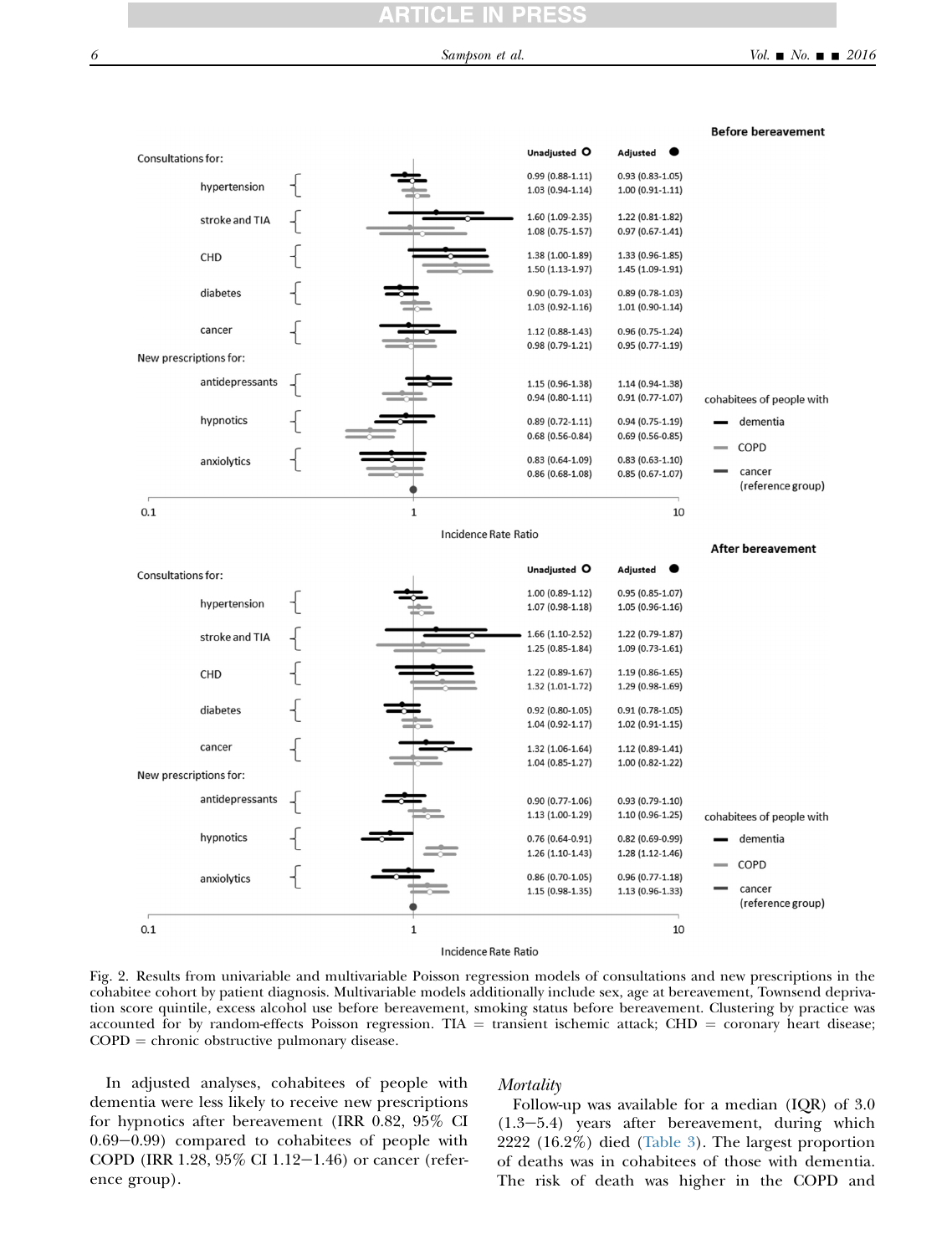<span id="page-5-0"></span>

Fig. 2. Results from univariable and multivariable Poisson regression models of consultations and new prescriptions in the cohabitee cohort by patient diagnosis. Multivariable models additionally include sex, age at bereavement, Townsend deprivation score quintile, excess alcohol use before bereavement, smoking status before bereavement. Clustering by practice was accounted for by random-effects Poisson regression. TIA = transient ischemic attack; CHD = coronary heart disease;  $COPD =$  chronic obstructive pulmonary disease.

In adjusted analyses, cohabitees of people with dementia were less likely to receive new prescriptions for hypnotics after bereavement (IRR 0.82, 95% CI  $0.69-0.99$ ) compared to cohabitees of people with COPD (IRR 1.28,  $95\%$  CI 1.12-1.46) or cancer (reference group).

### Mortality

Follow-up was available for a median (IQR) of 3.0  $(1.3-5.4)$  years after bereavement, during which 2222 (16.2%) died [\(Table 3\)](#page-6-0). The largest proportion of deaths was in cohabitees of those with dementia. The risk of death was higher in the COPD and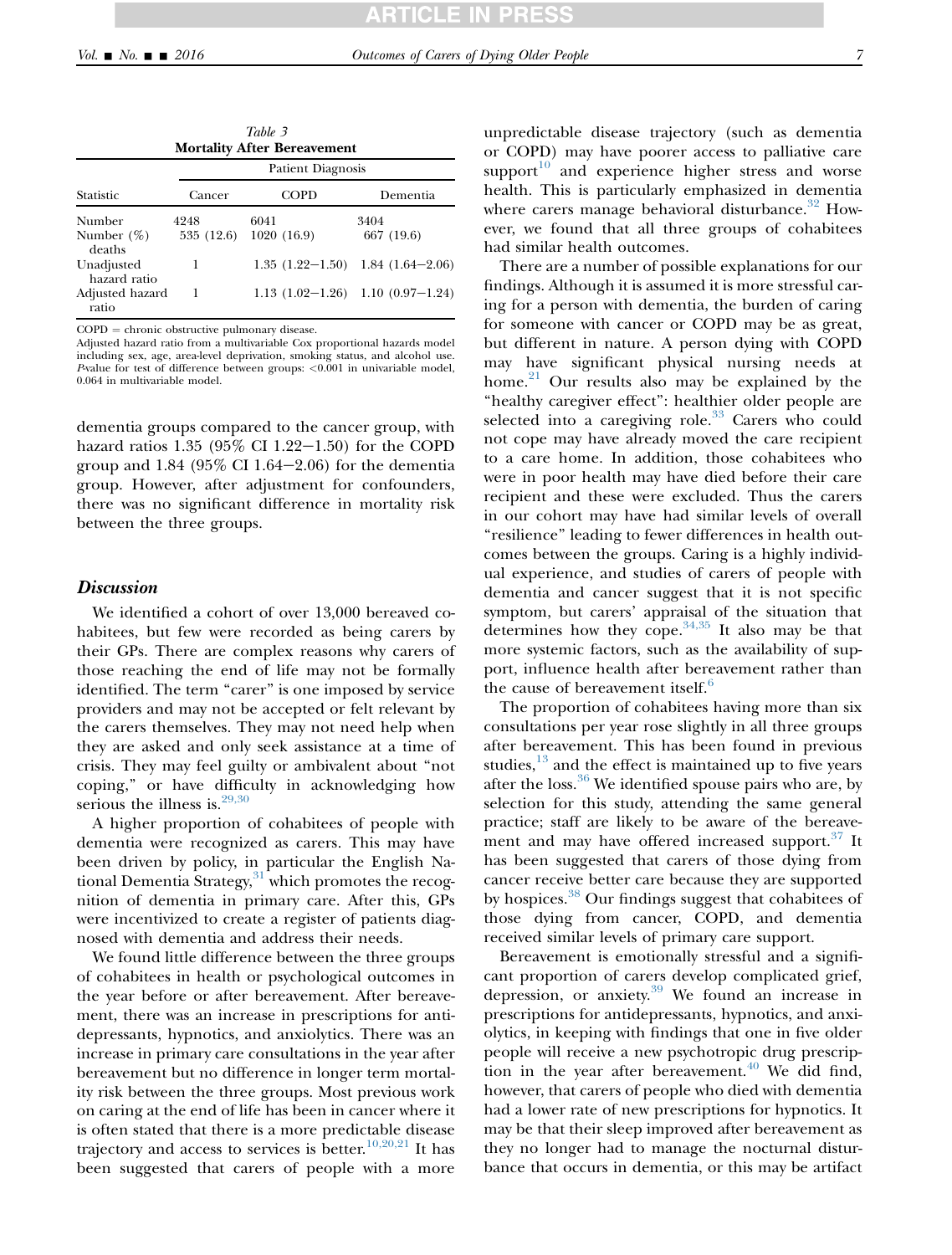ratio

<span id="page-6-0"></span>

| Table 3<br><b>Mortality After Bereavement</b> |                          |             |                                      |  |  |  |
|-----------------------------------------------|--------------------------|-------------|--------------------------------------|--|--|--|
| Statistic                                     | <b>Patient Diagnosis</b> |             |                                      |  |  |  |
|                                               | Cancer                   | <b>COPD</b> | Dementia                             |  |  |  |
| Number                                        | 4248                     | 6041        | 3404                                 |  |  |  |
| Number $(\%)$<br>deaths                       | 535 (12.6)               | 1020(16.9)  | 667 (19.6)                           |  |  |  |
| Unadjusted<br>hazard ratio                    | 1                        |             | $1.35(1.22-1.50)$ 1.84 $(1.64-2.06)$ |  |  |  |
| Adjusted hazard                               |                          |             | $1.13(1.02-1.26)$ 1.10 $(0.97-1.24)$ |  |  |  |

 $COPD =$  chronic obstructive pulmonary disease.

Adjusted hazard ratio from a multivariable Cox proportional hazards model including sex, age, area-level deprivation, smoking status, and alcohol use. P-value for test of difference between groups: <0.001 in univariable model, 0.064 in multivariable model.

dementia groups compared to the cancer group, with hazard ratios  $1.35$  (95% CI 1.22-1.50) for the COPD group and  $1.84$  (95% CI 1.64-2.06) for the dementia group. However, after adjustment for confounders, there was no significant difference in mortality risk between the three groups.

### **Discussion**

We identified a cohort of over 13,000 bereaved cohabitees, but few were recorded as being carers by their GPs. There are complex reasons why carers of those reaching the end of life may not be formally identified. The term "carer" is one imposed by service providers and may not be accepted or felt relevant by the carers themselves. They may not need help when they are asked and only seek assistance at a time of crisis. They may feel guilty or ambivalent about ''not coping,'' or have difficulty in acknowledging how serious the illness is.<sup>[29,30](#page-8-0)</sup>

A higher proportion of cohabitees of people with dementia were recognized as carers. This may have been driven by policy, in particular the English National Dementia Strategy, $31$  which promotes the recognition of dementia in primary care. After this, GPs were incentivized to create a register of patients diagnosed with dementia and address their needs.

We found little difference between the three groups of cohabitees in health or psychological outcomes in the year before or after bereavement. After bereavement, there was an increase in prescriptions for antidepressants, hypnotics, and anxiolytics. There was an increase in primary care consultations in the year after bereavement but no difference in longer term mortality risk between the three groups. Most previous work on caring at the end of life has been in cancer where it is often stated that there is a more predictable disease trajectory and access to services is better.<sup>[10,20,21](#page-8-0)</sup> It has been suggested that carers of people with a more

unpredictable disease trajectory (such as dementia or COPD) may have poorer access to palliative care support $10$  and experience higher stress and worse health. This is particularly emphasized in dementia where carers manage behavioral disturbance. $32$  However, we found that all three groups of cohabitees had similar health outcomes.

There are a number of possible explanations for our findings. Although it is assumed it is more stressful caring for a person with dementia, the burden of caring for someone with cancer or COPD may be as great, but different in nature. A person dying with COPD may have significant physical nursing needs at home. $21$  Our results also may be explained by the "healthy caregiver effect": healthier older people are selected into a caregiving role.<sup>[33](#page-8-0)</sup> Carers who could not cope may have already moved the care recipient to a care home. In addition, those cohabitees who were in poor health may have died before their care recipient and these were excluded. Thus the carers in our cohort may have had similar levels of overall ''resilience'' leading to fewer differences in health outcomes between the groups. Caring is a highly individual experience, and studies of carers of people with dementia and cancer suggest that it is not specific symptom, but carers' appraisal of the situation that determines how they cope.<sup>34,35</sup> It also may be that more systemic factors, such as the availability of support, influence health after bereavement rather than the cause of bereavement itself.<sup>[6](#page-8-0)</sup>

The proportion of cohabitees having more than six consultations per year rose slightly in all three groups after bereavement. This has been found in previous studies, $13$  and the effect is maintained up to five years after the loss. $36$  We identified spouse pairs who are, by selection for this study, attending the same general practice; staff are likely to be aware of the bereave-ment and may have offered increased support.<sup>[37](#page-8-0)</sup> It has been suggested that carers of those dying from cancer receive better care because they are supported by hospices.<sup>[38](#page-8-0)</sup> Our findings suggest that cohabitees of those dying from cancer, COPD, and dementia received similar levels of primary care support.

Bereavement is emotionally stressful and a significant proportion of carers develop complicated grief, depression, or anxiety.<sup>[39](#page-9-0)</sup> We found an increase in prescriptions for antidepressants, hypnotics, and anxiolytics, in keeping with findings that one in five older people will receive a new psychotropic drug prescription in the year after bereavement. $40$  We did find, however, that carers of people who died with dementia had a lower rate of new prescriptions for hypnotics. It may be that their sleep improved after bereavement as they no longer had to manage the nocturnal disturbance that occurs in dementia, or this may be artifact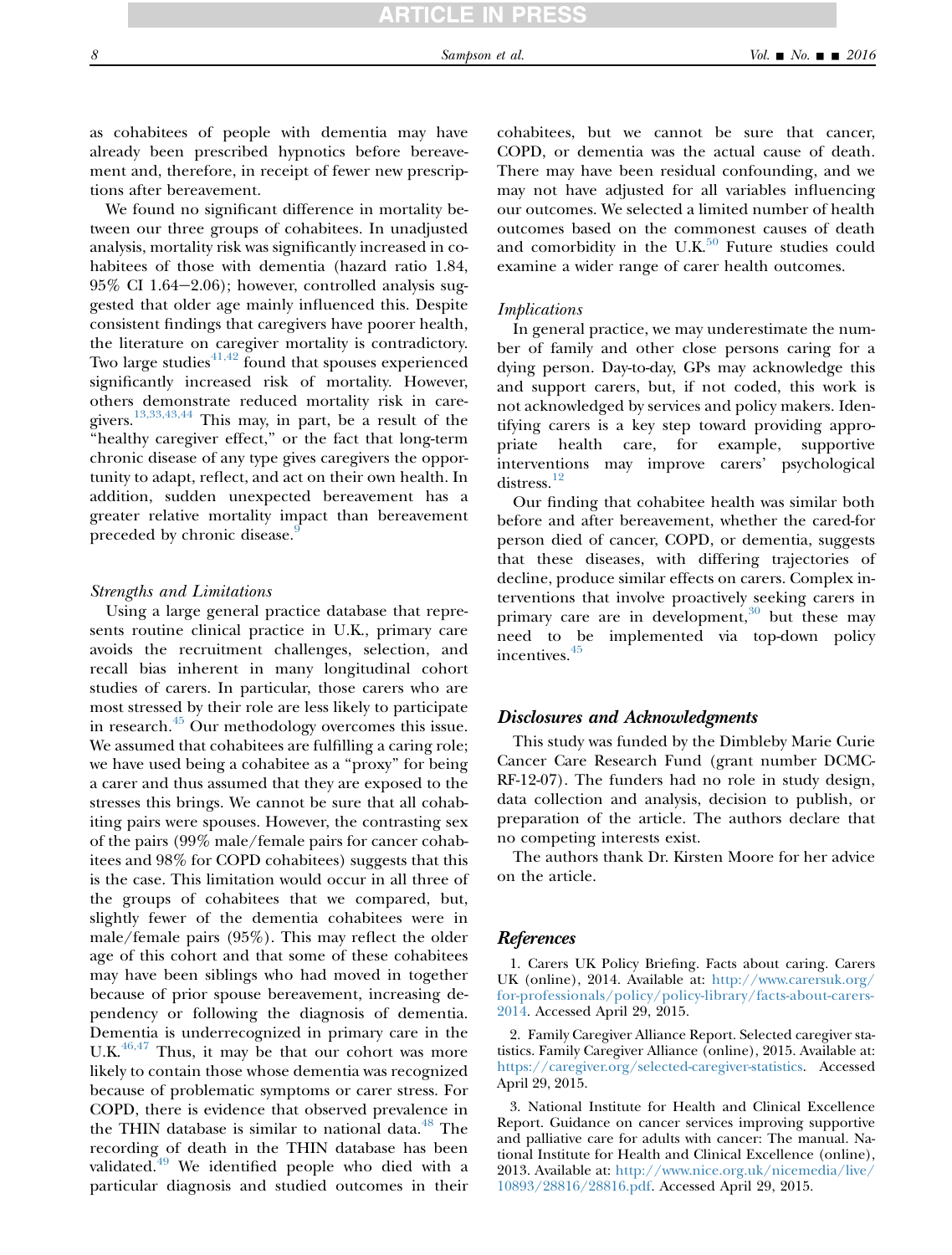<span id="page-7-0"></span>as cohabitees of people with dementia may have already been prescribed hypnotics before bereavement and, therefore, in receipt of fewer new prescriptions after bereavement.

We found no significant difference in mortality between our three groups of cohabitees. In unadjusted analysis, mortality risk was significantly increased in cohabitees of those with dementia (hazard ratio 1.84,  $95\%$  CI 1.64–2.06); however, controlled analysis suggested that older age mainly influenced this. Despite consistent findings that caregivers have poorer health, the literature on caregiver mortality is contradictory. Two large studies $41,42$  found that spouses experienced significantly increased risk of mortality. However, others demonstrate reduced mortality risk in caregivers.[13,33,43,44](#page-8-0) This may, in part, be a result of the "healthy caregiver effect," or the fact that long-term chronic disease of any type gives caregivers the opportunity to adapt, reflect, and act on their own health. In addition, sudden unexpected bereavement has a greater relative mortality impact than bereavement preceded by chronic disease.<sup>[9](#page-8-0)</sup>

### Strengths and Limitations

Using a large general practice database that represents routine clinical practice in U.K., primary care avoids the recruitment challenges, selection, and recall bias inherent in many longitudinal cohort studies of carers. In particular, those carers who are most stressed by their role are less likely to participate in research.<sup>[45](#page-9-0)</sup> Our methodology overcomes this issue. We assumed that cohabitees are fulfilling a caring role; we have used being a cohabitee as a ''proxy'' for being a carer and thus assumed that they are exposed to the stresses this brings. We cannot be sure that all cohabiting pairs were spouses. However, the contrasting sex of the pairs (99% male/female pairs for cancer cohabitees and 98% for COPD cohabitees) suggests that this is the case. This limitation would occur in all three of the groups of cohabitees that we compared, but, slightly fewer of the dementia cohabitees were in male/female pairs (95%). This may reflect the older age of this cohort and that some of these cohabitees may have been siblings who had moved in together because of prior spouse bereavement, increasing dependency or following the diagnosis of dementia. Dementia is underrecognized in primary care in the U.K. $46,47$  Thus, it may be that our cohort was more likely to contain those whose dementia was recognized because of problematic symptoms or carer stress. For COPD, there is evidence that observed prevalence in the THIN database is similar to national data. $48$  The recording of death in the THIN database has been validated.<sup>[49](#page-9-0)</sup> We identified people who died with a particular diagnosis and studied outcomes in their

cohabitees, but we cannot be sure that cancer, COPD, or dementia was the actual cause of death. There may have been residual confounding, and we may not have adjusted for all variables influencing our outcomes. We selected a limited number of health outcomes based on the commonest causes of death and comorbidity in the U.K. $50$  Future studies could examine a wider range of carer health outcomes.

### Implications

In general practice, we may underestimate the number of family and other close persons caring for a dying person. Day-to-day, GPs may acknowledge this and support carers, but, if not coded, this work is not acknowledged by services and policy makers. Identifying carers is a key step toward providing appropriate health care, for example, supportive interventions may improve carers' psychological distress.<sup>[12](#page-8-0)</sup>

Our finding that cohabitee health was similar both before and after bereavement, whether the cared-for person died of cancer, COPD, or dementia, suggests that these diseases, with differing trajectories of decline, produce similar effects on carers. Complex interventions that involve proactively seeking carers in primary care are in development, $30$  but these may need to be implemented via top-down policy incentives.[45](#page-9-0)

# Disclosures and Acknowledgments

This study was funded by the Dimbleby Marie Curie Cancer Care Research Fund (grant number DCMC-RF-12-07). The funders had no role in study design, data collection and analysis, decision to publish, or preparation of the article. The authors declare that no competing interests exist.

The authors thank Dr. Kirsten Moore for her advice on the article.

### References

1. Carers UK Policy Briefing. Facts about caring. Carers UK (online), 2014. Available at: [http://www.carersuk.org/](http://www.carersuk.org/for-professionals/policy/policy-library/facts-about-carers-2014) [for-professionals/policy/policy-library/facts-about-carers-](http://www.carersuk.org/for-professionals/policy/policy-library/facts-about-carers-2014)[2014.](http://www.carersuk.org/for-professionals/policy/policy-library/facts-about-carers-2014) Accessed April 29, 2015.

2. Family Caregiver Alliance Report. Selected caregiver statistics. Family Caregiver Alliance (online), 2015. Available at: [https://caregiver.org/selected-caregiver-statistics.](https://caregiver.org/selected-caregiver-statistics) Accessed April 29, 2015.

3. National Institute for Health and Clinical Excellence Report. Guidance on cancer services improving supportive and palliative care for adults with cancer: The manual. National Institute for Health and Clinical Excellence (online), 2013. Available at: [http://www.nice.org.uk/nicemedia/live/](http://www.nice.org.uk/nicemedia/live/10893/28816/28816.pdf) [10893/28816/28816.pdf](http://www.nice.org.uk/nicemedia/live/10893/28816/28816.pdf). Accessed April 29, 2015.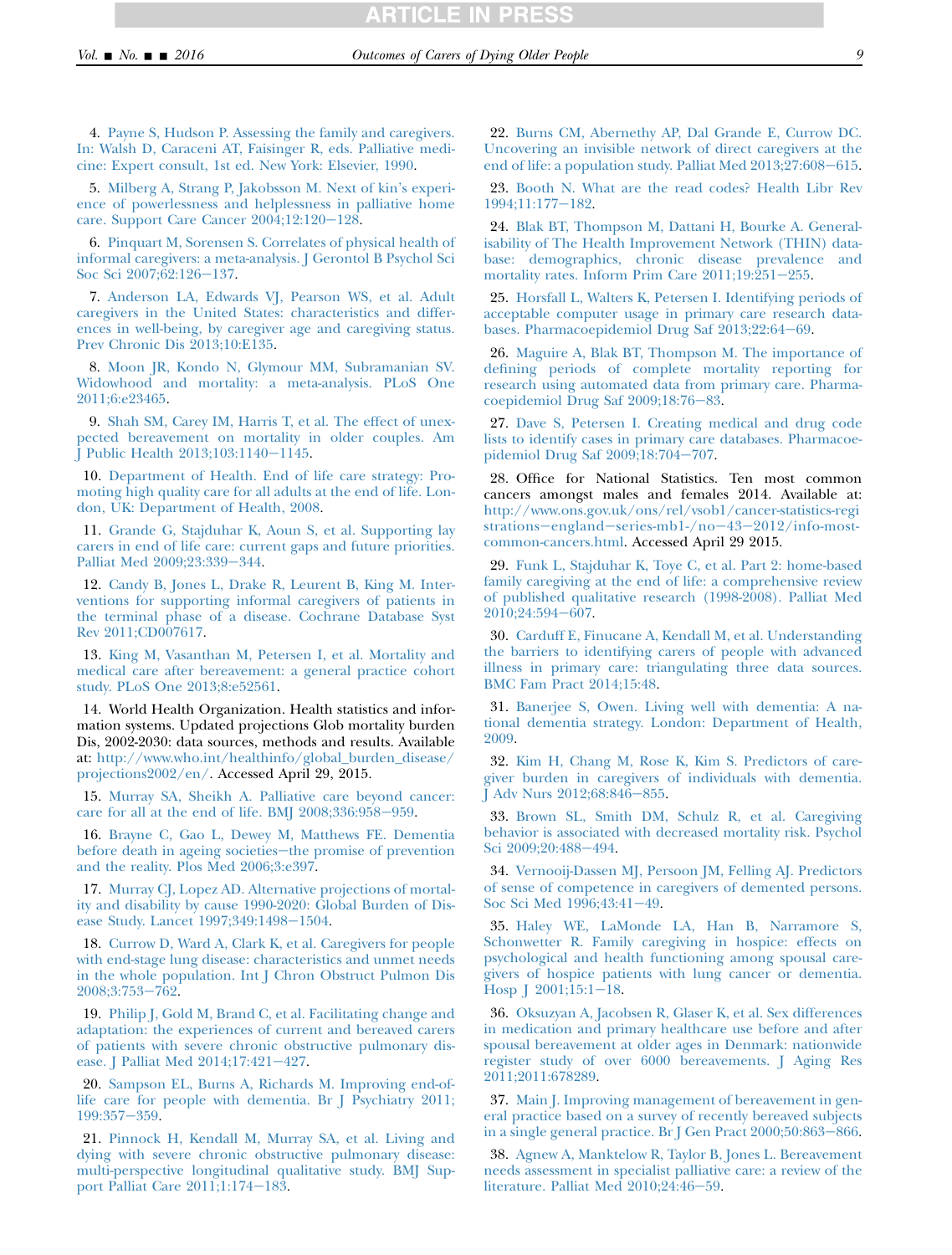RTICLE IN PRESS

<span id="page-8-0"></span>4. [Payne S, Hudson P. Assessing the family and caregivers.](http://refhub.elsevier.com/S0885-3924(16)00059-2/sref4) [In: Walsh D, Caraceni AT, Faisinger R, eds. Palliative medi](http://refhub.elsevier.com/S0885-3924(16)00059-2/sref4)[cine: Expert consult, 1st ed. New York: Elsevier, 1990](http://refhub.elsevier.com/S0885-3924(16)00059-2/sref4).

5. [Milberg A, Strang P, Jakobsson M. Next of kin's experi](http://refhub.elsevier.com/S0885-3924(16)00059-2/sref5)[ence of powerlessness and helplessness in palliative home](http://refhub.elsevier.com/S0885-3924(16)00059-2/sref5) care. Support Care Cancer  $2004;12:120-128$ .

6. [Pinquart M, Sorensen S. Correlates of physical health of](http://refhub.elsevier.com/S0885-3924(16)00059-2/sref6) [informal caregivers: a meta-analysis. J Gerontol B Psychol Sci](http://refhub.elsevier.com/S0885-3924(16)00059-2/sref6) [Soc Sci 2007;62:126](http://refhub.elsevier.com/S0885-3924(16)00059-2/sref6)-137.

7. [Anderson LA, Edwards VJ, Pearson WS, et al. Adult](http://refhub.elsevier.com/S0885-3924(16)00059-2/sref7) [caregivers in the United States: characteristics and differ](http://refhub.elsevier.com/S0885-3924(16)00059-2/sref7)[ences in well-being, by caregiver age and caregiving status.](http://refhub.elsevier.com/S0885-3924(16)00059-2/sref7) [Prev Chronic Dis 2013;10:E135.](http://refhub.elsevier.com/S0885-3924(16)00059-2/sref7)

8. [Moon JR, Kondo N, Glymour MM, Subramanian SV.](http://refhub.elsevier.com/S0885-3924(16)00059-2/sref8) [Widowhood and mortality: a meta-analysis. PLoS One](http://refhub.elsevier.com/S0885-3924(16)00059-2/sref8) [2011;6:e23465.](http://refhub.elsevier.com/S0885-3924(16)00059-2/sref8)

9. [Shah SM, Carey IM, Harris T, et al. The effect of unex](http://refhub.elsevier.com/S0885-3924(16)00059-2/sref9)[pected bereavement on mortality in older couples. Am](http://refhub.elsevier.com/S0885-3924(16)00059-2/sref9) J Public Health  $2013;103:1140-1145$ .

10. [Department of Health. End of life care strategy: Pro](http://refhub.elsevier.com/S0885-3924(16)00059-2/sref10)[moting high quality care for all adults at the end of life. Lon](http://refhub.elsevier.com/S0885-3924(16)00059-2/sref10)[don, UK: Department of Health, 2008.](http://refhub.elsevier.com/S0885-3924(16)00059-2/sref10)

11. [Grande G, Stajduhar K, Aoun S, et al. Supporting lay](http://refhub.elsevier.com/S0885-3924(16)00059-2/sref11) [carers in end of life care: current gaps and future priorities.](http://refhub.elsevier.com/S0885-3924(16)00059-2/sref11) [Palliat Med 2009;23:339](http://refhub.elsevier.com/S0885-3924(16)00059-2/sref11)-344.

12. [Candy B, Jones L, Drake R, Leurent B, King M. Inter](http://refhub.elsevier.com/S0885-3924(16)00059-2/sref12)[ventions for supporting informal caregivers of patients in](http://refhub.elsevier.com/S0885-3924(16)00059-2/sref12) [the terminal phase of a disease. Cochrane Database Syst](http://refhub.elsevier.com/S0885-3924(16)00059-2/sref12) [Rev 2011;CD007617.](http://refhub.elsevier.com/S0885-3924(16)00059-2/sref12)

13. [King M, Vasanthan M, Petersen I, et al. Mortality and](http://refhub.elsevier.com/S0885-3924(16)00059-2/sref13) [medical care after bereavement: a general practice cohort](http://refhub.elsevier.com/S0885-3924(16)00059-2/sref13) [study. PLoS One 2013;8:e52561.](http://refhub.elsevier.com/S0885-3924(16)00059-2/sref13)

14. World Health Organization. Health statistics and information systems. Updated projections Glob mortality burden Dis, 2002-2030: data sources, methods and results. Available at: [http://www.who.int/healthinfo/global\\_burden\\_disease/](http://www.who.int/healthinfo/global_burden_disease/projections2002/en/) [projections2002/en/.](http://www.who.int/healthinfo/global_burden_disease/projections2002/en/) Accessed April 29, 2015.

15. [Murray SA, Sheikh A. Palliative care beyond cancer:](http://refhub.elsevier.com/S0885-3924(16)00059-2/sref15) care for all at the end of life. BMJ  $2008;336:958-959$ .

16. [Brayne C, Gao L, Dewey M, Matthews FE. Dementia](http://refhub.elsevier.com/S0885-3924(16)00059-2/sref16) [before death in ageing societies](http://refhub.elsevier.com/S0885-3924(16)00059-2/sref16)-the promise of prevention [and the reality. Plos Med 2006;3:e397](http://refhub.elsevier.com/S0885-3924(16)00059-2/sref16).

17. [Murray CJ, Lopez AD. Alternative projections of mortal](http://refhub.elsevier.com/S0885-3924(16)00059-2/sref17)[ity and disability by cause 1990-2020: Global Burden of Dis](http://refhub.elsevier.com/S0885-3924(16)00059-2/sref17)[ease Study. Lancet 1997;349:1498](http://refhub.elsevier.com/S0885-3924(16)00059-2/sref17)-1504.

18. [Currow D, Ward A, Clark K, et al. Caregivers for people](http://refhub.elsevier.com/S0885-3924(16)00059-2/sref18) [with end-stage lung disease: characteristics and unmet needs](http://refhub.elsevier.com/S0885-3924(16)00059-2/sref18) [in the whole population. Int J Chron Obstruct Pulmon Dis](http://refhub.elsevier.com/S0885-3924(16)00059-2/sref18) [2008;3:753](http://refhub.elsevier.com/S0885-3924(16)00059-2/sref18)-762.

19. [Philip J, Gold M, Brand C, et al. Facilitating change and](http://refhub.elsevier.com/S0885-3924(16)00059-2/sref19) [adaptation: the experiences of current and bereaved carers](http://refhub.elsevier.com/S0885-3924(16)00059-2/sref19) [of patients with severe chronic obstructive pulmonary dis](http://refhub.elsevier.com/S0885-3924(16)00059-2/sref19)[ease. J Palliat Med 2014;17:421](http://refhub.elsevier.com/S0885-3924(16)00059-2/sref19)-427.

20. [Sampson EL, Burns A, Richards M. Improving end-of](http://refhub.elsevier.com/S0885-3924(16)00059-2/sref20)[life care for people with dementia. Br J Psychiatry 2011;](http://refhub.elsevier.com/S0885-3924(16)00059-2/sref20) [199:357](http://refhub.elsevier.com/S0885-3924(16)00059-2/sref20)-359.

21. [Pinnock H, Kendall M, Murray SA, et al. Living and](http://refhub.elsevier.com/S0885-3924(16)00059-2/sref21) [dying with severe chronic obstructive pulmonary disease:](http://refhub.elsevier.com/S0885-3924(16)00059-2/sref21) [multi-perspective longitudinal qualitative study. BMJ Sup](http://refhub.elsevier.com/S0885-3924(16)00059-2/sref21)[port Palliat Care 2011;1:174](http://refhub.elsevier.com/S0885-3924(16)00059-2/sref21)-183.

22. [Burns CM, Abernethy AP, Dal Grande E, Currow DC.](http://refhub.elsevier.com/S0885-3924(16)00059-2/sref22) [Uncovering an invisible network of direct caregivers at the](http://refhub.elsevier.com/S0885-3924(16)00059-2/sref22) end of life: a population study. Palliat Med  $2013;27:608-615$ .

23. [Booth N. What are the read codes? Health Libr Rev](http://refhub.elsevier.com/S0885-3924(16)00059-2/sref23) [1994;11:177](http://refhub.elsevier.com/S0885-3924(16)00059-2/sref23)-182.

24. [Blak BT, Thompson M, Dattani H, Bourke A. General](http://refhub.elsevier.com/S0885-3924(16)00059-2/sref24)[isability of The Health Improvement Network \(THIN\) data](http://refhub.elsevier.com/S0885-3924(16)00059-2/sref24)[base: demographics, chronic disease prevalence and](http://refhub.elsevier.com/S0885-3924(16)00059-2/sref24) mortality rates. Inform Prim Care  $2011;19:251-255$ .

25. [Horsfall L, Walters K, Petersen I. Identifying periods of](http://refhub.elsevier.com/S0885-3924(16)00059-2/sref25) [acceptable computer usage in primary care research data](http://refhub.elsevier.com/S0885-3924(16)00059-2/sref25)[bases. Pharmacoepidemiol Drug Saf 2013;22:64](http://refhub.elsevier.com/S0885-3924(16)00059-2/sref25)-69.

26. [Maguire A, Blak BT, Thompson M. The importance of](http://refhub.elsevier.com/S0885-3924(16)00059-2/sref26) [defining periods of complete mortality reporting for](http://refhub.elsevier.com/S0885-3924(16)00059-2/sref26) [research using automated data from primary care. Pharma](http://refhub.elsevier.com/S0885-3924(16)00059-2/sref26)coepidemiol Drug Saf  $2009;18:76-83$ .

27. [Dave S, Petersen I. Creating medical and drug code](http://refhub.elsevier.com/S0885-3924(16)00059-2/sref27) [lists to identify cases in primary care databases. Pharmacoe](http://refhub.elsevier.com/S0885-3924(16)00059-2/sref27)[pidemiol Drug Saf 2009;18:704](http://refhub.elsevier.com/S0885-3924(16)00059-2/sref27)-707.

28. Office for National Statistics. Ten most common cancers amongst males and females 2014. Available at: [http://www.ons.gov.uk/ons/rel/vsob1/cancer-statistics-regi](http://www.ons.gov.uk/ons/rel/vsob1/cancer-statistics-registrations%5fengland%5fseries-mb1-/no%5f43%5f2012/info-most-common-cancers.html) strations-england-series-mb1-/no-43-[2012/info-most](http://www.ons.gov.uk/ons/rel/vsob1/cancer-statistics-registrations%5fengland%5fseries-mb1-/no%5f43%5f2012/info-most-common-cancers.html)[common-cancers.html](http://www.ons.gov.uk/ons/rel/vsob1/cancer-statistics-registrations%5fengland%5fseries-mb1-/no%5f43%5f2012/info-most-common-cancers.html). Accessed April 29 2015.

29. [Funk L, Stajduhar K, Toye C, et al. Part 2: home-based](http://refhub.elsevier.com/S0885-3924(16)00059-2/sref29) [family caregiving at the end of life: a comprehensive review](http://refhub.elsevier.com/S0885-3924(16)00059-2/sref29) [of published qualitative research \(1998-2008\). Palliat Med](http://refhub.elsevier.com/S0885-3924(16)00059-2/sref29)  $2010;24:594-607.$  $2010;24:594-607.$ 

30. [Carduff E, Finucane A, Kendall M, et al. Understanding](http://refhub.elsevier.com/S0885-3924(16)00059-2/sref30) [the barriers to identifying carers of people with advanced](http://refhub.elsevier.com/S0885-3924(16)00059-2/sref30) [illness in primary care: triangulating three data sources.](http://refhub.elsevier.com/S0885-3924(16)00059-2/sref30) [BMC Fam Pract 2014;15:48](http://refhub.elsevier.com/S0885-3924(16)00059-2/sref30).

31. [Banerjee S, Owen. Living well with dementia: A na](http://refhub.elsevier.com/S0885-3924(16)00059-2/sref31)[tional dementia strategy. London: Department of Health,](http://refhub.elsevier.com/S0885-3924(16)00059-2/sref31) [2009.](http://refhub.elsevier.com/S0885-3924(16)00059-2/sref31)

32. [Kim H, Chang M, Rose K, Kim S. Predictors of care](http://refhub.elsevier.com/S0885-3924(16)00059-2/sref32)[giver burden in caregivers of individuals with dementia.](http://refhub.elsevier.com/S0885-3924(16)00059-2/sref32) J Adv Nurs  $2012;68:846-855$ .

33. [Brown SL, Smith DM, Schulz R, et al. Caregiving](http://refhub.elsevier.com/S0885-3924(16)00059-2/sref33) [behavior is associated with decreased mortality risk. Psychol](http://refhub.elsevier.com/S0885-3924(16)00059-2/sref33) [Sci 2009;20:488](http://refhub.elsevier.com/S0885-3924(16)00059-2/sref33)-494.

34. [Vernooij-Dassen MJ, Persoon JM, Felling AJ. Predictors](http://refhub.elsevier.com/S0885-3924(16)00059-2/sref34) [of sense of competence in caregivers of demented persons.](http://refhub.elsevier.com/S0885-3924(16)00059-2/sref34) [Soc Sci Med 1996;43:41](http://refhub.elsevier.com/S0885-3924(16)00059-2/sref34)-49.

35. [Haley WE, LaMonde LA, Han B, Narramore S,](http://refhub.elsevier.com/S0885-3924(16)00059-2/sref35) [Schonwetter R. Family caregiving in hospice: effects on](http://refhub.elsevier.com/S0885-3924(16)00059-2/sref35) [psychological and health functioning among spousal care](http://refhub.elsevier.com/S0885-3924(16)00059-2/sref35)[givers of hospice patients with lung cancer or dementia.](http://refhub.elsevier.com/S0885-3924(16)00059-2/sref35) Hosp  $[2001;15:1-18]$ .

36. [Oksuzyan A, Jacobsen R, Glaser K, et al. Sex differences](http://refhub.elsevier.com/S0885-3924(16)00059-2/sref36) [in medication and primary healthcare use before and after](http://refhub.elsevier.com/S0885-3924(16)00059-2/sref36) [spousal bereavement at older ages in Denmark: nationwide](http://refhub.elsevier.com/S0885-3924(16)00059-2/sref36) [register study of over 6000 bereavements. J Aging Res](http://refhub.elsevier.com/S0885-3924(16)00059-2/sref36) [2011;2011:678289.](http://refhub.elsevier.com/S0885-3924(16)00059-2/sref36)

37. [Main J. Improving management of bereavement in gen](http://refhub.elsevier.com/S0885-3924(16)00059-2/sref37)[eral practice based on a survey of recently bereaved subjects](http://refhub.elsevier.com/S0885-3924(16)00059-2/sref37) in a single general practice. Br J Gen Pract  $2000;50:863-866$ .

38. [Agnew A, Manktelow R, Taylor B, Jones L. Bereavement](http://refhub.elsevier.com/S0885-3924(16)00059-2/sref38) [needs assessment in specialist palliative care: a review of the](http://refhub.elsevier.com/S0885-3924(16)00059-2/sref38) literature. Palliat Med  $2010;24:46-59$ .